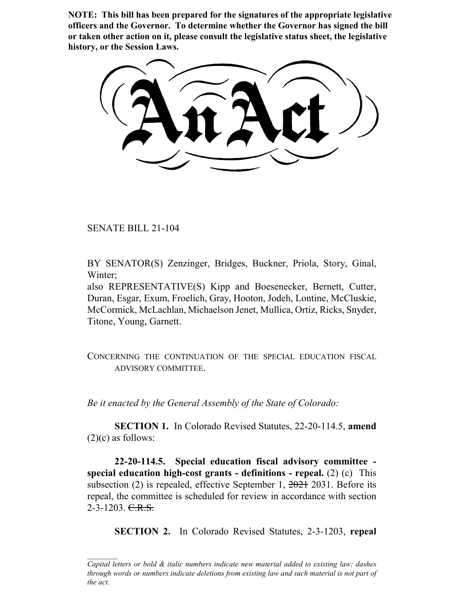**NOTE: This bill has been prepared for the signatures of the appropriate legislative officers and the Governor. To determine whether the Governor has signed the bill or taken other action on it, please consult the legislative status sheet, the legislative history, or the Session Laws.**

SENATE BILL 21-104

BY SENATOR(S) Zenzinger, Bridges, Buckner, Priola, Story, Ginal, Winter;

also REPRESENTATIVE(S) Kipp and Boesenecker, Bernett, Cutter, Duran, Esgar, Exum, Froelich, Gray, Hooton, Jodeh, Lontine, McCluskie, McCormick, McLachlan, Michaelson Jenet, Mullica, Ortiz, Ricks, Snyder, Titone, Young, Garnett.

CONCERNING THE CONTINUATION OF THE SPECIAL EDUCATION FISCAL ADVISORY COMMITTEE.

*Be it enacted by the General Assembly of the State of Colorado:*

**SECTION 1.** In Colorado Revised Statutes, 22-20-114.5, **amend**  $(2)(c)$  as follows:

**22-20-114.5. Special education fiscal advisory committee special education high-cost grants - definitions - repeal.** (2) (c) This subsection (2) is repealed, effective September 1,  $2021$  2031. Before its repeal, the committee is scheduled for review in accordance with section 2-3-1203. C.R.S.

**SECTION 2.** In Colorado Revised Statutes, 2-3-1203, **repeal**

*Capital letters or bold & italic numbers indicate new material added to existing law; dashes through words or numbers indicate deletions from existing law and such material is not part of the act.*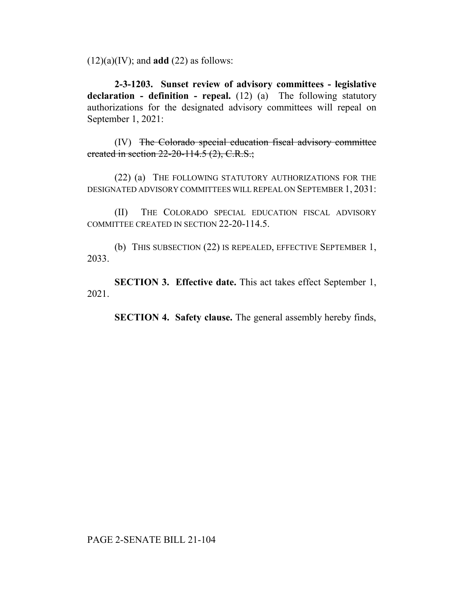$(12)(a)(IV)$ ; and **add**  $(22)$  as follows:

**2-3-1203. Sunset review of advisory committees - legislative declaration - definition - repeal.** (12) (a) The following statutory authorizations for the designated advisory committees will repeal on September 1, 2021:

(IV) The Colorado special education fiscal advisory committee created in section  $22-20-114.5$  (2), C.R.S.;

(22) (a) THE FOLLOWING STATUTORY AUTHORIZATIONS FOR THE DESIGNATED ADVISORY COMMITTEES WILL REPEAL ON SEPTEMBER 1, 2031:

(II) THE COLORADO SPECIAL EDUCATION FISCAL ADVISORY COMMITTEE CREATED IN SECTION 22-20-114.5.

(b) THIS SUBSECTION (22) IS REPEALED, EFFECTIVE SEPTEMBER 1, 2033.

**SECTION 3. Effective date.** This act takes effect September 1, 2021.

**SECTION 4. Safety clause.** The general assembly hereby finds,